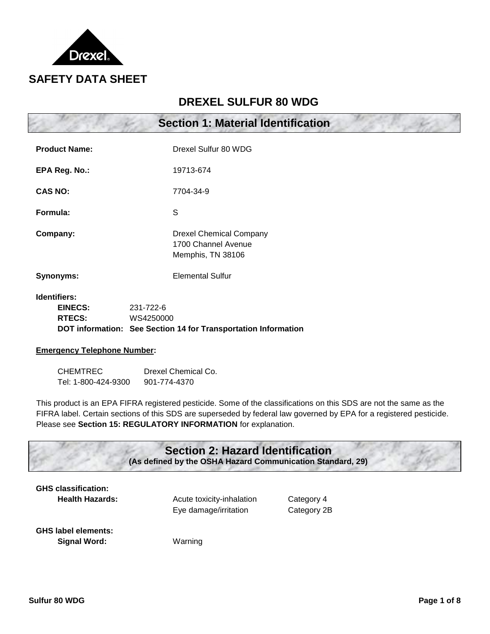

# **DREXEL SULFUR 80 WDG**

|                                                        | <b>Section 1: Material Identification</b>                                                |
|--------------------------------------------------------|------------------------------------------------------------------------------------------|
| <b>Product Name:</b>                                   | Drexel Sulfur 80 WDG                                                                     |
| EPA Reg. No.:                                          | 19713-674                                                                                |
| <b>CAS NO:</b>                                         | 7704-34-9                                                                                |
| Formula:                                               | S                                                                                        |
| Company:                                               | <b>Drexel Chemical Company</b><br>1700 Channel Avenue<br>Memphis, TN 38106               |
| <b>Synonyms:</b>                                       | <b>Elemental Sulfur</b>                                                                  |
| <b>Identifiers:</b><br><b>EINECS:</b><br><b>RTECS:</b> | 231-722-6<br>WS4250000<br>DOT information: See Section 14 for Transportation Information |
| Emarganay Talanhana Numbaru                            |                                                                                          |

#### **Emergency Telephone Number:**

| <b>CHEMTREC</b>     | Drexel Chemical Co. |  |  |
|---------------------|---------------------|--|--|
| Tel: 1-800-424-9300 | 901-774-4370        |  |  |

This product is an EPA FIFRA registered pesticide. Some of the classifications on this SDS are not the same as the FIFRA label. Certain sections of this SDS are superseded by federal law governed by EPA for a registered pesticide. Please see **Section 15: REGULATORY INFORMATION** for explanation.

# **Section 2: Hazard Identification**

**(As defined by the OSHA Hazard Communication Standard, 29)**

| <b>GHS classification:</b> |                        |  |  |
|----------------------------|------------------------|--|--|
|                            | <b>Health Hazards:</b> |  |  |

Acute toxicity-inhalation Category 4 Eye damage/irritation Category 2B

**GHS label elements: Signal Word:** Warning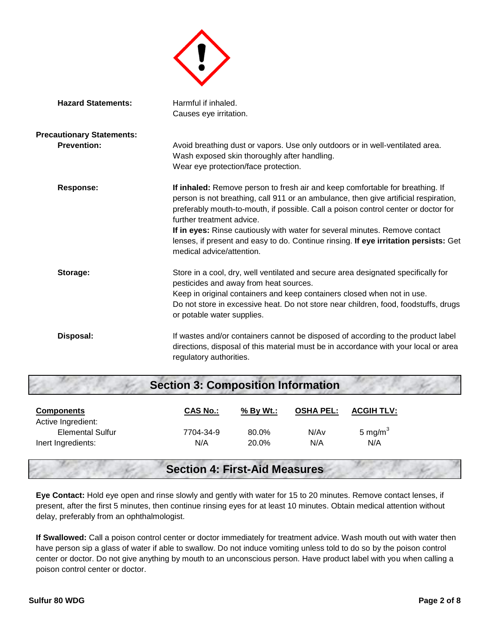

| <b>Hazard Statements:</b>        | Harmful if inhaled.<br>Causes eye irritation.                                                                                                                                                                                                                                                                                                                                                                                                                                                |  |  |
|----------------------------------|----------------------------------------------------------------------------------------------------------------------------------------------------------------------------------------------------------------------------------------------------------------------------------------------------------------------------------------------------------------------------------------------------------------------------------------------------------------------------------------------|--|--|
|                                  |                                                                                                                                                                                                                                                                                                                                                                                                                                                                                              |  |  |
| <b>Precautionary Statements:</b> |                                                                                                                                                                                                                                                                                                                                                                                                                                                                                              |  |  |
| <b>Prevention:</b>               | Avoid breathing dust or vapors. Use only outdoors or in well-ventilated area.<br>Wash exposed skin thoroughly after handling.<br>Wear eye protection/face protection.                                                                                                                                                                                                                                                                                                                        |  |  |
| <b>Response:</b>                 | If inhaled: Remove person to fresh air and keep comfortable for breathing. If<br>person is not breathing, call 911 or an ambulance, then give artificial respiration,<br>preferably mouth-to-mouth, if possible. Call a poison control center or doctor for<br>further treatment advice.<br>If in eyes: Rinse cautiously with water for several minutes. Remove contact<br>lenses, if present and easy to do. Continue rinsing. If eye irritation persists: Get<br>medical advice/attention. |  |  |
| Storage:                         | Store in a cool, dry, well ventilated and secure area designated specifically for<br>pesticides and away from heat sources.<br>Keep in original containers and keep containers closed when not in use.<br>Do not store in excessive heat. Do not store near children, food, foodstuffs, drugs<br>or potable water supplies.                                                                                                                                                                  |  |  |
| Disposal:                        | If wastes and/or containers cannot be disposed of according to the product label<br>directions, disposal of this material must be in accordance with your local or area<br>regulatory authorities.                                                                                                                                                                                                                                                                                           |  |  |

# **Section 3: Composition Information**

| <b>Components</b>       | <b>CAS No.:</b> | $%$ By Wt.: | <b>OSHA PEL:</b> | <b>ACGIH TLV:</b>   |
|-------------------------|-----------------|-------------|------------------|---------------------|
| Active Ingredient:      |                 |             |                  |                     |
| <b>Elemental Sulfur</b> | 7704-34-9       | 80.0%       | N/Av             | 5 mg/m <sup>3</sup> |
| Inert Ingredients:      | N/A             | 20.0%       | N/A              | N/A                 |

# **Section 4: First-Aid Measures**

**Eye Contact:** Hold eye open and rinse slowly and gently with water for 15 to 20 minutes. Remove contact lenses, if present, after the first 5 minutes, then continue rinsing eyes for at least 10 minutes. Obtain medical attention without delay, preferably from an ophthalmologist.

**If Swallowed:** Call a poison control center or doctor immediately for treatment advice. Wash mouth out with water then have person sip a glass of water if able to swallow. Do not induce vomiting unless told to do so by the poison control center or doctor. Do not give anything by mouth to an unconscious person. Have product label with you when calling a poison control center or doctor.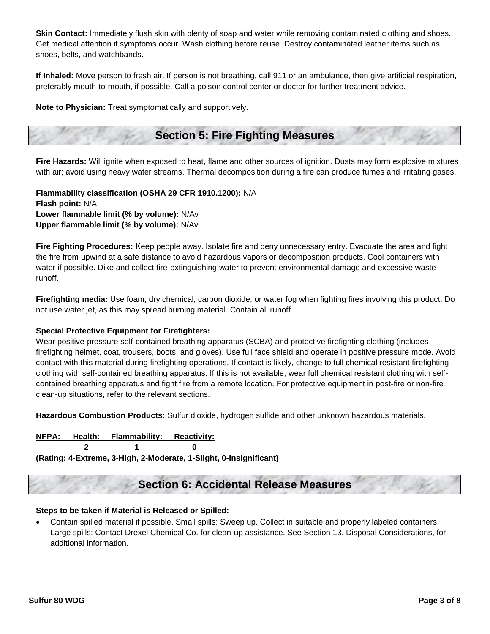**Skin Contact:** Immediately flush skin with plenty of soap and water while removing contaminated clothing and shoes. Get medical attention if symptoms occur. Wash clothing before reuse. Destroy contaminated leather items such as shoes, belts, and watchbands.

**If Inhaled:** Move person to fresh air. If person is not breathing, call 911 or an ambulance, then give artificial respiration, preferably mouth-to-mouth, if possible. Call a poison control center or doctor for further treatment advice.

**Note to Physician:** Treat symptomatically and supportively.

# **Section 5: Fire Fighting Measures**

**Fire Hazards:** Will ignite when exposed to heat, flame and other sources of ignition. Dusts may form explosive mixtures with air; avoid using heavy water streams. Thermal decomposition during a fire can produce fumes and irritating gases.

**Flammability classification (OSHA 29 CFR 1910.1200):** N/A **Flash point:** N/A **Lower flammable limit (% by volume):** N/Av **Upper flammable limit (% by volume):** N/Av

**Fire Fighting Procedures:** Keep people away. Isolate fire and deny unnecessary entry. Evacuate the area and fight the fire from upwind at a safe distance to avoid hazardous vapors or decomposition products. Cool containers with water if possible. Dike and collect fire-extinguishing water to prevent environmental damage and excessive waste runoff.

**Firefighting media:** Use foam, dry chemical, carbon dioxide, or water fog when fighting fires involving this product. Do not use water jet, as this may spread burning material. Contain all runoff.

#### **Special Protective Equipment for Firefighters:**

Wear positive-pressure self-contained breathing apparatus (SCBA) and protective firefighting clothing (includes firefighting helmet, coat, trousers, boots, and gloves). Use full face shield and operate in positive pressure mode. Avoid contact with this material during firefighting operations. If contact is likely, change to full chemical resistant firefighting clothing with self-contained breathing apparatus. If this is not available, wear full chemical resistant clothing with selfcontained breathing apparatus and fight fire from a remote location. For protective equipment in post-fire or non-fire clean-up situations, refer to the relevant sections.

**Hazardous Combustion Products:** Sulfur dioxide, hydrogen sulfide and other unknown hazardous materials.

#### **NFPA: Health: Flammability: Reactivity:**

**2 1 0**

**(Rating: 4-Extreme, 3-High, 2-Moderate, 1-Slight, 0-Insignificant)**

# **Section 6: Accidental Release Measures**

#### **Steps to be taken if Material is Released or Spilled:**

 Contain spilled material if possible. Small spills: Sweep up. Collect in suitable and properly labeled containers. Large spills: Contact Drexel Chemical Co. for clean-up assistance. See Section 13, Disposal Considerations, for additional information.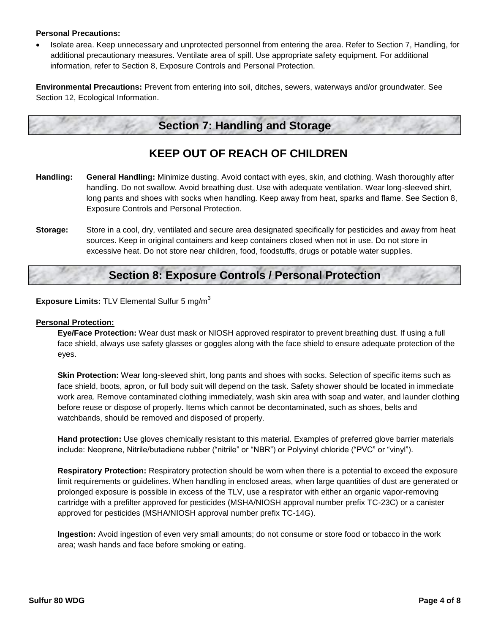#### **Personal Precautions:**

• Isolate area. Keep unnecessary and unprotected personnel from entering the area. Refer to Section 7, Handling, for additional precautionary measures. Ventilate area of spill. Use appropriate safety equipment. For additional information, refer to Section 8, Exposure Controls and Personal Protection.

**Environmental Precautions:** Prevent from entering into soil, ditches, sewers, waterways and/or groundwater. See Section 12, Ecological Information.

### **Section 7: Handling and Storage**

# **KEEP OUT OF REACH OF CHILDREN**

- **Handling: General Handling:** Minimize dusting. Avoid contact with eyes, skin, and clothing. Wash thoroughly after handling. Do not swallow. Avoid breathing dust. Use with adequate ventilation. Wear long-sleeved shirt, long pants and shoes with socks when handling. Keep away from heat, sparks and flame. See Section 8, Exposure Controls and Personal Protection.
- **Storage:** Store in a cool, dry, ventilated and secure area designated specifically for pesticides and away from heat sources. Keep in original containers and keep containers closed when not in use. Do not store in excessive heat. Do not store near children, food, foodstuffs, drugs or potable water supplies.

# **Section 8: Exposure Controls / Personal Protection**

**Exposure Limits: TLV Elemental Sulfur 5 mg/m<sup>3</sup>** 

#### **Personal Protection:**

**Eye/Face Protection:** Wear dust mask or NIOSH approved respirator to prevent breathing dust. If using a full face shield, always use safety glasses or goggles along with the face shield to ensure adequate protection of the eyes.

**Skin Protection:** Wear long-sleeved shirt, long pants and shoes with socks. Selection of specific items such as face shield, boots, apron, or full body suit will depend on the task. Safety shower should be located in immediate work area. Remove contaminated clothing immediately, wash skin area with soap and water, and launder clothing before reuse or dispose of properly. Items which cannot be decontaminated, such as shoes, belts and watchbands, should be removed and disposed of properly.

**Hand protection:** Use gloves chemically resistant to this material. Examples of preferred glove barrier materials include: Neoprene, Nitrile/butadiene rubber ("nitrile" or "NBR") or Polyvinyl chloride ("PVC" or "vinyl").

**Respiratory Protection:** Respiratory protection should be worn when there is a potential to exceed the exposure limit requirements or guidelines. When handling in enclosed areas, when large quantities of dust are generated or prolonged exposure is possible in excess of the TLV, use a respirator with either an organic vapor-removing cartridge with a prefilter approved for pesticides (MSHA/NIOSH approval number prefix TC-23C) or a canister approved for pesticides (MSHA/NIOSH approval number prefix TC-14G).

**Ingestion:** Avoid ingestion of even very small amounts; do not consume or store food or tobacco in the work area; wash hands and face before smoking or eating.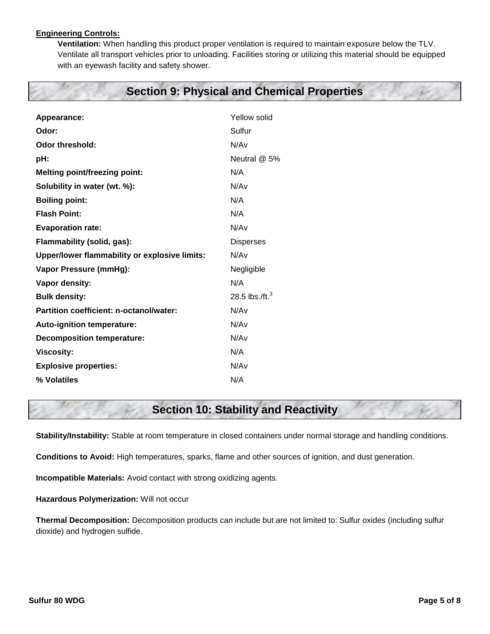#### **Engineering Controls:**

**Ventilation:** When handling this product proper ventilation is required to maintain exposure below the TLV. Ventilate all transport vehicles prior to unloading. Facilities storing or utilizing this material should be equipped with an eyewash facility and safety shower.

# **Section 9: Physical and Chemical Properties**

| Appearance:                                   | Yellow solid      |  |
|-----------------------------------------------|-------------------|--|
| Odor:                                         | Sulfur            |  |
| Odor threshold:                               | N/Av              |  |
| pH:                                           | Neutral @ 5%      |  |
| <b>Melting point/freezing point:</b>          | N/A               |  |
| Solubility in water (wt. %):                  | N/Av              |  |
| <b>Boiling point:</b>                         | N/A               |  |
| <b>Flash Point:</b>                           | N/A               |  |
| <b>Evaporation rate:</b>                      | N/Av              |  |
| Flammability (solid, gas):                    | <b>Disperses</b>  |  |
| Upper/lower flammability or explosive limits: | N/Av              |  |
| Vapor Pressure (mmHg):                        | Negligible        |  |
| Vapor density:                                | N/A               |  |
| <b>Bulk density:</b>                          | 28.5 lbs./ft. $3$ |  |
| Partition coefficient: n-octanol/water:       | N/Av              |  |
| Auto-ignition temperature:                    | N/Av              |  |
| <b>Decomposition temperature:</b>             | N/Av              |  |
| <b>Viscosity:</b>                             | N/A               |  |
| <b>Explosive properties:</b>                  | N/Av              |  |
| % Volatiles                                   | N/A               |  |

# **Section 10: Stability and Reactivity**

**Stability/Instability:** Stable at room temperature in closed containers under normal storage and handling conditions.

**Conditions to Avoid:** High temperatures, sparks, flame and other sources of ignition, and dust generation.

**Incompatible Materials:** Avoid contact with strong oxidizing agents.

**Hazardous Polymerization:** Will not occur

**Thermal Decomposition:** Decomposition products can include but are not limited to: Sulfur oxides (including sulfur dioxide) and hydrogen sulfide.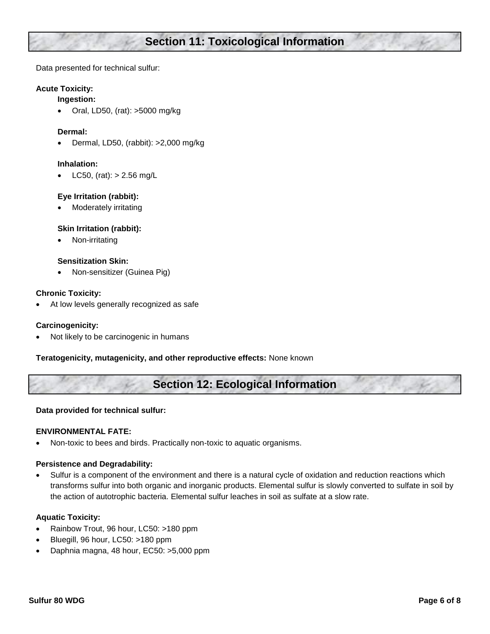# **Section 11: Toxicological Information**

Data presented for technical sulfur:

#### **Acute Toxicity:**

#### **Ingestion:**

Oral, LD50, (rat): >5000 mg/kg

#### **Dermal:**

Dermal, LD50, (rabbit): >2,000 mg/kg

#### **Inhalation:**

LC50, (rat):  $> 2.56$  mg/L

#### **Eye Irritation (rabbit):**

Moderately irritating

#### **Skin Irritation (rabbit):**

Non-irritating

#### **Sensitization Skin:**

Non-sensitizer (Guinea Pig)

#### **Chronic Toxicity:**

At low levels generally recognized as safe

#### **Carcinogenicity:**

Not likely to be carcinogenic in humans

**Teratogenicity, mutagenicity, and other reproductive effects:** None known

# **Section 12: Ecological Information**

#### **Data provided for technical sulfur:**

#### **ENVIRONMENTAL FATE:**

Non-toxic to bees and birds. Practically non-toxic to aquatic organisms.

#### **Persistence and Degradability:**

 Sulfur is a component of the environment and there is a natural cycle of oxidation and reduction reactions which transforms sulfur into both organic and inorganic products. Elemental sulfur is slowly converted to sulfate in soil by the action of autotrophic bacteria. Elemental sulfur leaches in soil as sulfate at a slow rate.

#### **Aquatic Toxicity:**

- Rainbow Trout, 96 hour, LC50: >180 ppm
- Bluegill, 96 hour, LC50: >180 ppm
- Daphnia magna, 48 hour, EC50: >5,000 ppm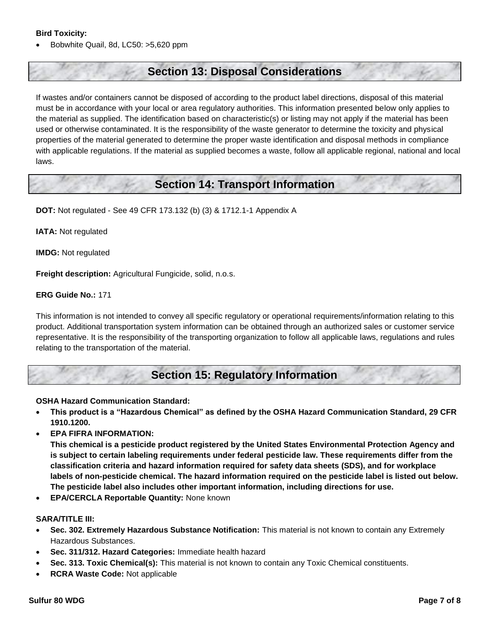#### **Bird Toxicity:**

Bobwhite Quail, 8d, LC50: >5,620 ppm

### **Section 13: Disposal Considerations**

If wastes and/or containers cannot be disposed of according to the product label directions, disposal of this material must be in accordance with your local or area regulatory authorities. This information presented below only applies to the material as supplied. The identification based on characteristic(s) or listing may not apply if the material has been used or otherwise contaminated. It is the responsibility of the waste generator to determine the toxicity and physical properties of the material generated to determine the proper waste identification and disposal methods in compliance with applicable regulations. If the material as supplied becomes a waste, follow all applicable regional, national and local laws.

### **Section 14: Transport Information**

**DOT:** Not regulated - See 49 CFR 173.132 (b) (3) & 1712.1-1 Appendix A

**IATA:** Not regulated

**IMDG:** Not regulated

**Freight description:** Agricultural Fungicide, solid, n.o.s.

#### **ERG Guide No.:** 171

This information is not intended to convey all specific regulatory or operational requirements/information relating to this product. Additional transportation system information can be obtained through an authorized sales or customer service representative. It is the responsibility of the transporting organization to follow all applicable laws, regulations and rules relating to the transportation of the material.

### **Section 15: Regulatory Information**

#### **OSHA Hazard Communication Standard:**

- **This product is a "Hazardous Chemical" as defined by the OSHA Hazard Communication Standard, 29 CFR 1910.1200.**
- **EPA FIFRA INFORMATION:**

**This chemical is a pesticide product registered by the United States Environmental Protection Agency and is subject to certain labeling requirements under federal pesticide law. These requirements differ from the classification criteria and hazard information required for safety data sheets (SDS), and for workplace labels of non-pesticide chemical. The hazard information required on the pesticide label is listed out below. The pesticide label also includes other important information, including directions for use.**

**EPA/CERCLA Reportable Quantity:** None known

#### **SARA/TITLE III:**

- **Sec. 302. Extremely Hazardous Substance Notification:** This material is not known to contain any Extremely Hazardous Substances.
- **Sec. 311/312. Hazard Categories:** Immediate health hazard
- **Sec. 313. Toxic Chemical(s):** This material is not known to contain any Toxic Chemical constituents.
- **RCRA Waste Code:** Not applicable